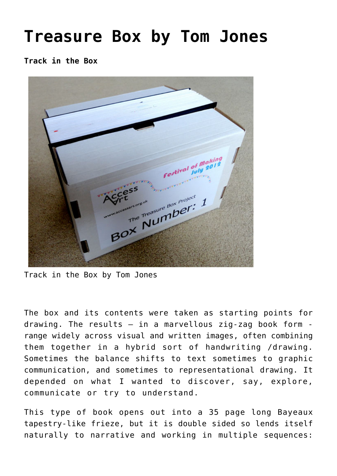## **[Treasure Box by Tom Jones](https://www.accessart.org.uk/treasure-box-by-tom-jones/)**

**Track in the Box**



Track in the Box by Tom Jones

The box and its contents were taken as starting points for drawing. The results – in a marvellous zig-zag book form range widely across visual and written images, often combining them together in a hybrid sort of handwriting /drawing. Sometimes the balance shifts to text sometimes to graphic communication, and sometimes to representational drawing. It depended on what I wanted to discover, say, explore, communicate or try to understand.

This type of book opens out into a 35 page long Bayeaux tapestry-like frieze, but it is double sided so lends itself naturally to narrative and working in multiple sequences: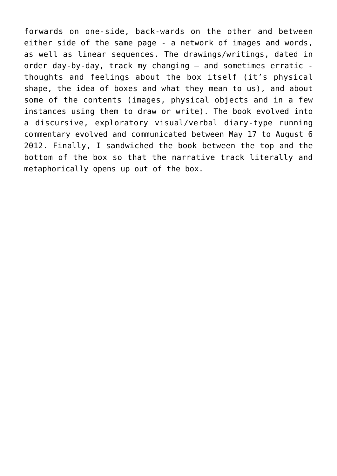forwards on one-side, back-wards on the other and between either side of the same page - a network of images and words, as well as linear sequences. The drawings/writings, dated in order day-by-day, track my changing – and sometimes erratic thoughts and feelings about the box itself (it's physical shape, the idea of boxes and what they mean to us), and about some of the contents (images, physical objects and in a few instances using them to draw or write). The book evolved into a discursive, exploratory visual/verbal diary-type running commentary evolved and communicated between May 17 to August 6 2012. Finally, I sandwiched the book between the top and the bottom of the box so that the narrative track literally and metaphorically opens up out of the box.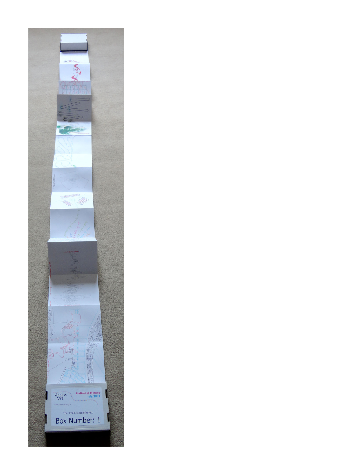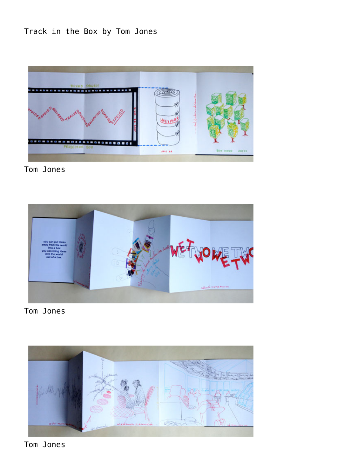## Track in the Box by Tom Jones



Tom Jones



Tom Jones



Tom Jones